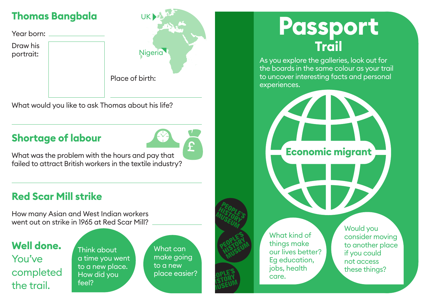#### **Thomas Bangbala**

Year born: Draw his portrait: Nigeria



What would you like to ask Thomas about his life?

#### **Shortage of labour**



What was the problem with the hours and pay that failed to attract British workers in the textile industry?

### **Red Scar Mill strike**

How many Asian and West Indian workers went out on strike in 1965 at Red Scar Mill?

### **Well done.**  You've completed the trail.

Think about a time you went to a new place. How did you feel?

What can make going to a new place easier?



# **Passport Trail**

As you explore the galleries, look out for the boards in the same colour as your trail to uncover interesting facts and personal experiences.

**Economic migrant**

What kind of things make our lives better? Eg education, jobs, health care.

Would you consider moving to another place if you could not access these things?